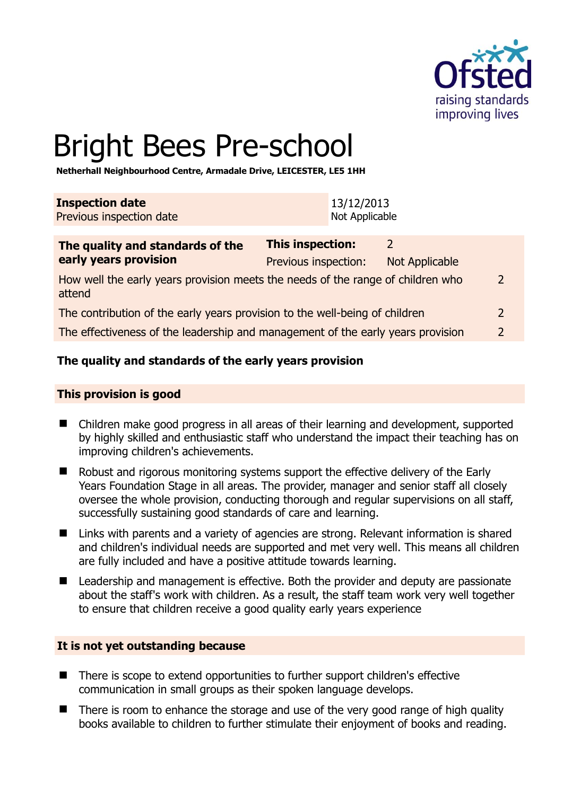

# Bright Bees Pre-school

**Netherhall Neighbourhood Centre, Armadale Drive, LEICESTER, LE5 1HH** 

| <b>Inspection date</b>   | 13/12/2013     |
|--------------------------|----------------|
| Previous inspection date | Not Applicable |

| The quality and standards of the                                                          | <b>This inspection:</b> | つ              |               |
|-------------------------------------------------------------------------------------------|-------------------------|----------------|---------------|
| early years provision                                                                     | Previous inspection:    | Not Applicable |               |
| How well the early years provision meets the needs of the range of children who<br>attend |                         |                |               |
| The contribution of the early years provision to the well-being of children               |                         |                |               |
| The effectiveness of the leadership and management of the early years provision           |                         |                | $\mathcal{L}$ |
|                                                                                           |                         |                |               |

# **The quality and standards of the early years provision**

#### **This provision is good**

- Children make good progress in all areas of their learning and development, supported by highly skilled and enthusiastic staff who understand the impact their teaching has on improving children's achievements.
- Robust and rigorous monitoring systems support the effective delivery of the Early Years Foundation Stage in all areas. The provider, manager and senior staff all closely oversee the whole provision, conducting thorough and regular supervisions on all staff, successfully sustaining good standards of care and learning.
- Links with parents and a variety of agencies are strong. Relevant information is shared and children's individual needs are supported and met very well. This means all children are fully included and have a positive attitude towards learning.
- Leadership and management is effective. Both the provider and deputy are passionate about the staff's work with children. As a result, the staff team work very well together to ensure that children receive a good quality early years experience

#### **It is not yet outstanding because**

- There is scope to extend opportunities to further support children's effective communication in small groups as their spoken language develops.
- There is room to enhance the storage and use of the very good range of high quality books available to children to further stimulate their enjoyment of books and reading.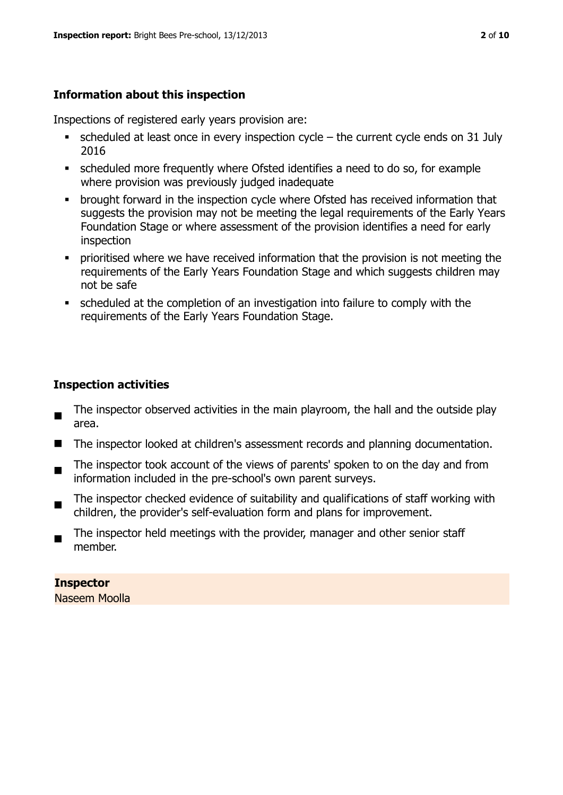# **Information about this inspection**

Inspections of registered early years provision are:

- scheduled at least once in every inspection cycle the current cycle ends on 31 July 2016
- scheduled more frequently where Ofsted identifies a need to do so, for example where provision was previously judged inadequate
- **•** brought forward in the inspection cycle where Ofsted has received information that suggests the provision may not be meeting the legal requirements of the Early Years Foundation Stage or where assessment of the provision identifies a need for early inspection
- **•** prioritised where we have received information that the provision is not meeting the requirements of the Early Years Foundation Stage and which suggests children may not be safe
- scheduled at the completion of an investigation into failure to comply with the requirements of the Early Years Foundation Stage.

# **Inspection activities**

- The inspector observed activities in the main playroom, the hall and the outside play area.
- The inspector looked at children's assessment records and planning documentation.
- $\blacksquare$ The inspector took account of the views of parents' spoken to on the day and from information included in the pre-school's own parent surveys.
- $\blacksquare$ The inspector checked evidence of suitability and qualifications of staff working with children, the provider's self-evaluation form and plans for improvement.
- $\blacksquare$ The inspector held meetings with the provider, manager and other senior staff member.

**Inspector**  Naseem Moolla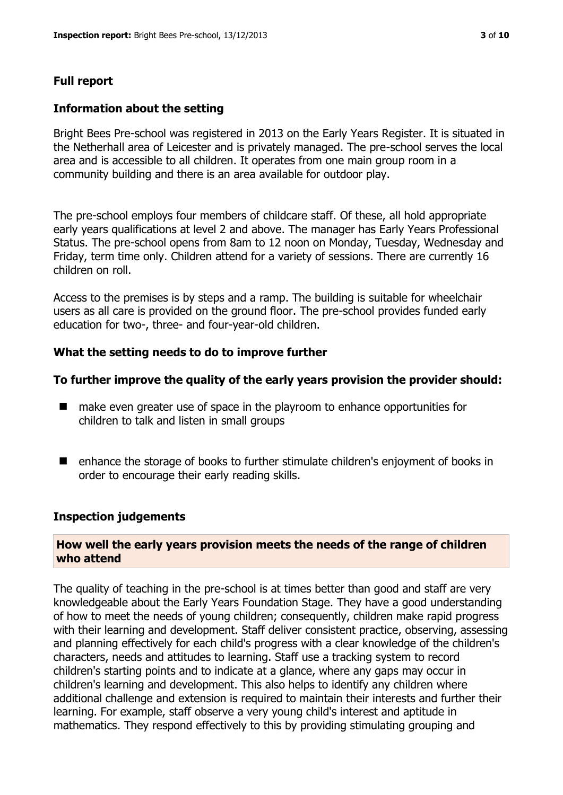#### **Full report**

#### **Information about the setting**

Bright Bees Pre-school was registered in 2013 on the Early Years Register. It is situated in the Netherhall area of Leicester and is privately managed. The pre-school serves the local area and is accessible to all children. It operates from one main group room in a community building and there is an area available for outdoor play.

The pre-school employs four members of childcare staff. Of these, all hold appropriate early years qualifications at level 2 and above. The manager has Early Years Professional Status. The pre-school opens from 8am to 12 noon on Monday, Tuesday, Wednesday and Friday, term time only. Children attend for a variety of sessions. There are currently 16 children on roll.

Access to the premises is by steps and a ramp. The building is suitable for wheelchair users as all care is provided on the ground floor. The pre-school provides funded early education for two-, three- and four-year-old children.

#### **What the setting needs to do to improve further**

#### **To further improve the quality of the early years provision the provider should:**

- make even greater use of space in the playroom to enhance opportunities for children to talk and listen in small groups
- enhance the storage of books to further stimulate children's enjoyment of books in order to encourage their early reading skills.

#### **Inspection judgements**

#### **How well the early years provision meets the needs of the range of children who attend**

The quality of teaching in the pre-school is at times better than good and staff are very knowledgeable about the Early Years Foundation Stage. They have a good understanding of how to meet the needs of young children; consequently, children make rapid progress with their learning and development. Staff deliver consistent practice, observing, assessing and planning effectively for each child's progress with a clear knowledge of the children's characters, needs and attitudes to learning. Staff use a tracking system to record children's starting points and to indicate at a glance, where any gaps may occur in children's learning and development. This also helps to identify any children where additional challenge and extension is required to maintain their interests and further their learning. For example, staff observe a very young child's interest and aptitude in mathematics. They respond effectively to this by providing stimulating grouping and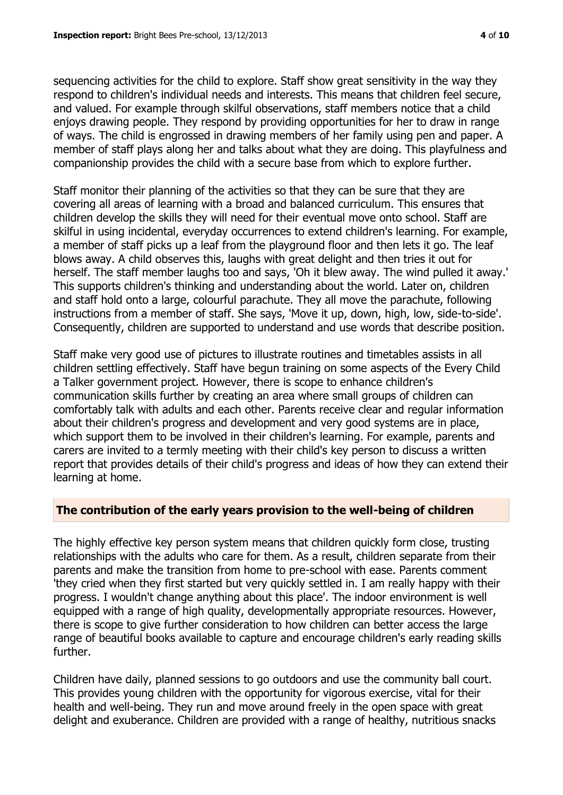sequencing activities for the child to explore. Staff show great sensitivity in the way they respond to children's individual needs and interests. This means that children feel secure, and valued. For example through skilful observations, staff members notice that a child enjoys drawing people. They respond by providing opportunities for her to draw in range of ways. The child is engrossed in drawing members of her family using pen and paper. A member of staff plays along her and talks about what they are doing. This playfulness and companionship provides the child with a secure base from which to explore further.

Staff monitor their planning of the activities so that they can be sure that they are covering all areas of learning with a broad and balanced curriculum. This ensures that children develop the skills they will need for their eventual move onto school. Staff are skilful in using incidental, everyday occurrences to extend children's learning. For example, a member of staff picks up a leaf from the playground floor and then lets it go. The leaf blows away. A child observes this, laughs with great delight and then tries it out for herself. The staff member laughs too and says, 'Oh it blew away. The wind pulled it away.' This supports children's thinking and understanding about the world. Later on, children and staff hold onto a large, colourful parachute. They all move the parachute, following instructions from a member of staff. She says, 'Move it up, down, high, low, side-to-side'. Consequently, children are supported to understand and use words that describe position.

Staff make very good use of pictures to illustrate routines and timetables assists in all children settling effectively. Staff have begun training on some aspects of the Every Child a Talker government project. However, there is scope to enhance children's communication skills further by creating an area where small groups of children can comfortably talk with adults and each other. Parents receive clear and regular information about their children's progress and development and very good systems are in place, which support them to be involved in their children's learning. For example, parents and carers are invited to a termly meeting with their child's key person to discuss a written report that provides details of their child's progress and ideas of how they can extend their learning at home.

#### **The contribution of the early years provision to the well-being of children**

The highly effective key person system means that children quickly form close, trusting relationships with the adults who care for them. As a result, children separate from their parents and make the transition from home to pre-school with ease. Parents comment 'they cried when they first started but very quickly settled in. I am really happy with their progress. I wouldn't change anything about this place'. The indoor environment is well equipped with a range of high quality, developmentally appropriate resources. However, there is scope to give further consideration to how children can better access the large range of beautiful books available to capture and encourage children's early reading skills further.

Children have daily, planned sessions to go outdoors and use the community ball court. This provides young children with the opportunity for vigorous exercise, vital for their health and well-being. They run and move around freely in the open space with great delight and exuberance. Children are provided with a range of healthy, nutritious snacks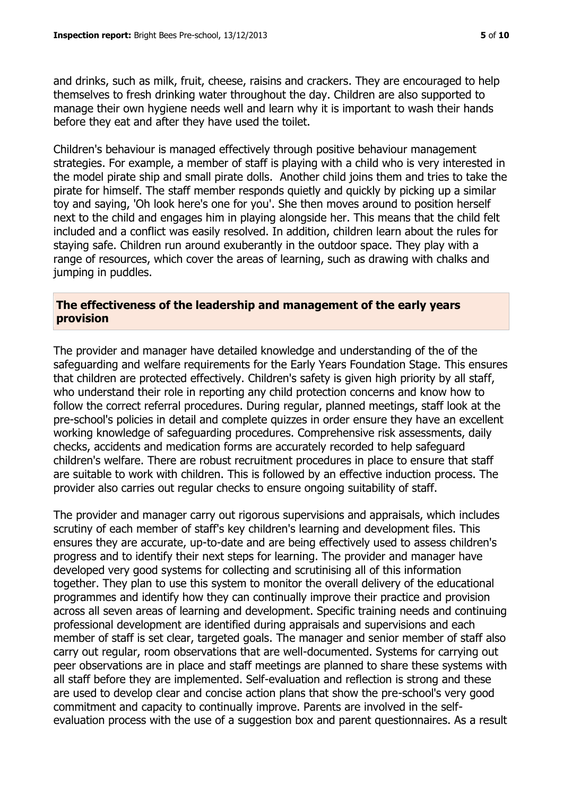and drinks, such as milk, fruit, cheese, raisins and crackers. They are encouraged to help themselves to fresh drinking water throughout the day. Children are also supported to manage their own hygiene needs well and learn why it is important to wash their hands before they eat and after they have used the toilet.

Children's behaviour is managed effectively through positive behaviour management strategies. For example, a member of staff is playing with a child who is very interested in the model pirate ship and small pirate dolls. Another child joins them and tries to take the pirate for himself. The staff member responds quietly and quickly by picking up a similar toy and saying, 'Oh look here's one for you'. She then moves around to position herself next to the child and engages him in playing alongside her. This means that the child felt included and a conflict was easily resolved. In addition, children learn about the rules for staying safe. Children run around exuberantly in the outdoor space. They play with a range of resources, which cover the areas of learning, such as drawing with chalks and jumping in puddles.

#### **The effectiveness of the leadership and management of the early years provision**

The provider and manager have detailed knowledge and understanding of the of the safeguarding and welfare requirements for the Early Years Foundation Stage. This ensures that children are protected effectively. Children's safety is given high priority by all staff, who understand their role in reporting any child protection concerns and know how to follow the correct referral procedures. During regular, planned meetings, staff look at the pre-school's policies in detail and complete quizzes in order ensure they have an excellent working knowledge of safeguarding procedures. Comprehensive risk assessments, daily checks, accidents and medication forms are accurately recorded to help safeguard children's welfare. There are robust recruitment procedures in place to ensure that staff are suitable to work with children. This is followed by an effective induction process. The provider also carries out regular checks to ensure ongoing suitability of staff.

The provider and manager carry out rigorous supervisions and appraisals, which includes scrutiny of each member of staff's key children's learning and development files. This ensures they are accurate, up-to-date and are being effectively used to assess children's progress and to identify their next steps for learning. The provider and manager have developed very good systems for collecting and scrutinising all of this information together. They plan to use this system to monitor the overall delivery of the educational programmes and identify how they can continually improve their practice and provision across all seven areas of learning and development. Specific training needs and continuing professional development are identified during appraisals and supervisions and each member of staff is set clear, targeted goals. The manager and senior member of staff also carry out regular, room observations that are well-documented. Systems for carrying out peer observations are in place and staff meetings are planned to share these systems with all staff before they are implemented. Self-evaluation and reflection is strong and these are used to develop clear and concise action plans that show the pre-school's very good commitment and capacity to continually improve. Parents are involved in the selfevaluation process with the use of a suggestion box and parent questionnaires. As a result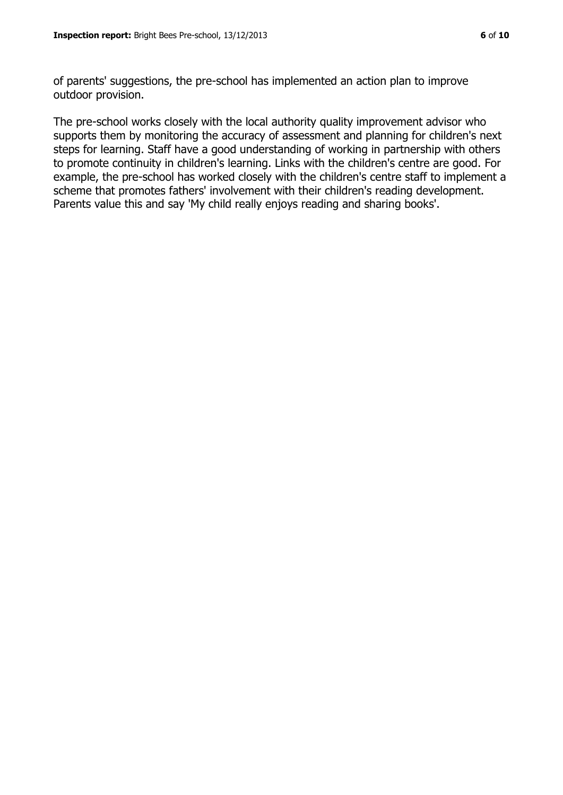of parents' suggestions, the pre-school has implemented an action plan to improve outdoor provision.

The pre-school works closely with the local authority quality improvement advisor who supports them by monitoring the accuracy of assessment and planning for children's next steps for learning. Staff have a good understanding of working in partnership with others to promote continuity in children's learning. Links with the children's centre are good. For example, the pre-school has worked closely with the children's centre staff to implement a scheme that promotes fathers' involvement with their children's reading development. Parents value this and say 'My child really enjoys reading and sharing books'.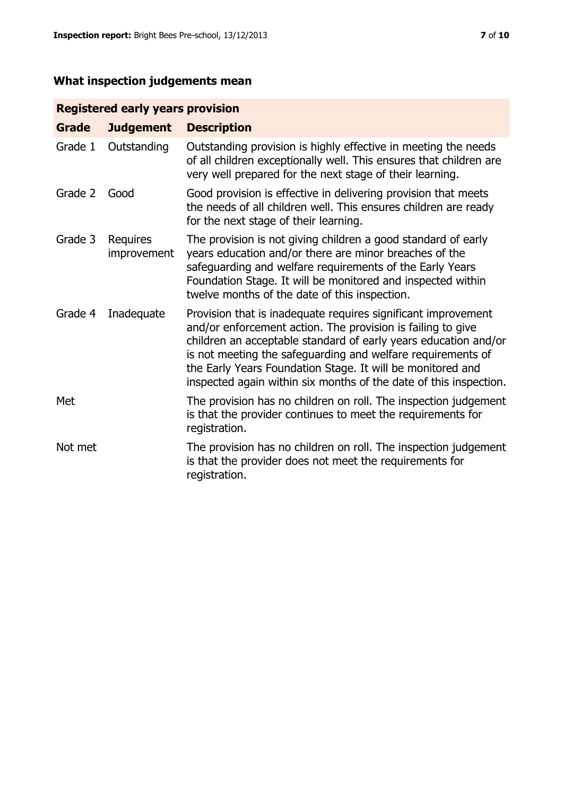# **What inspection judgements mean**

# **Registered early years provision**

| <b>Grade</b> | <b>Judgement</b>        | <b>Description</b>                                                                                                                                                                                                                                                                                                                                                                                |
|--------------|-------------------------|---------------------------------------------------------------------------------------------------------------------------------------------------------------------------------------------------------------------------------------------------------------------------------------------------------------------------------------------------------------------------------------------------|
| Grade 1      | Outstanding             | Outstanding provision is highly effective in meeting the needs<br>of all children exceptionally well. This ensures that children are<br>very well prepared for the next stage of their learning.                                                                                                                                                                                                  |
| Grade 2      | Good                    | Good provision is effective in delivering provision that meets<br>the needs of all children well. This ensures children are ready<br>for the next stage of their learning.                                                                                                                                                                                                                        |
| Grade 3      | Requires<br>improvement | The provision is not giving children a good standard of early<br>years education and/or there are minor breaches of the<br>safeguarding and welfare requirements of the Early Years<br>Foundation Stage. It will be monitored and inspected within<br>twelve months of the date of this inspection.                                                                                               |
| Grade 4      | Inadequate              | Provision that is inadequate requires significant improvement<br>and/or enforcement action. The provision is failing to give<br>children an acceptable standard of early years education and/or<br>is not meeting the safeguarding and welfare requirements of<br>the Early Years Foundation Stage. It will be monitored and<br>inspected again within six months of the date of this inspection. |
| Met          |                         | The provision has no children on roll. The inspection judgement<br>is that the provider continues to meet the requirements for<br>registration.                                                                                                                                                                                                                                                   |
| Not met      |                         | The provision has no children on roll. The inspection judgement<br>is that the provider does not meet the requirements for<br>registration.                                                                                                                                                                                                                                                       |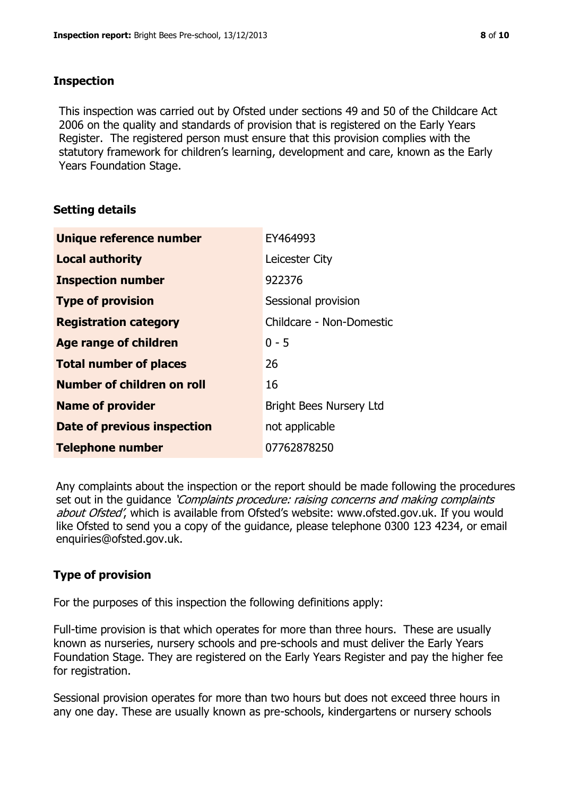### **Inspection**

This inspection was carried out by Ofsted under sections 49 and 50 of the Childcare Act 2006 on the quality and standards of provision that is registered on the Early Years Register. The registered person must ensure that this provision complies with the statutory framework for children's learning, development and care, known as the Early Years Foundation Stage.

# **Setting details**

| Unique reference number       | EY464993                       |
|-------------------------------|--------------------------------|
| <b>Local authority</b>        | Leicester City                 |
| <b>Inspection number</b>      | 922376                         |
| <b>Type of provision</b>      | Sessional provision            |
| <b>Registration category</b>  | Childcare - Non-Domestic       |
| <b>Age range of children</b>  | $0 - 5$                        |
| <b>Total number of places</b> | 26                             |
| Number of children on roll    | 16                             |
| <b>Name of provider</b>       | <b>Bright Bees Nursery Ltd</b> |
| Date of previous inspection   | not applicable                 |
| <b>Telephone number</b>       | 07762878250                    |

Any complaints about the inspection or the report should be made following the procedures set out in the guidance *'Complaints procedure: raising concerns and making complaints* about Ofsted', which is available from Ofsted's website: www.ofsted.gov.uk. If you would like Ofsted to send you a copy of the guidance, please telephone 0300 123 4234, or email enquiries@ofsted.gov.uk.

# **Type of provision**

For the purposes of this inspection the following definitions apply:

Full-time provision is that which operates for more than three hours. These are usually known as nurseries, nursery schools and pre-schools and must deliver the Early Years Foundation Stage. They are registered on the Early Years Register and pay the higher fee for registration.

Sessional provision operates for more than two hours but does not exceed three hours in any one day. These are usually known as pre-schools, kindergartens or nursery schools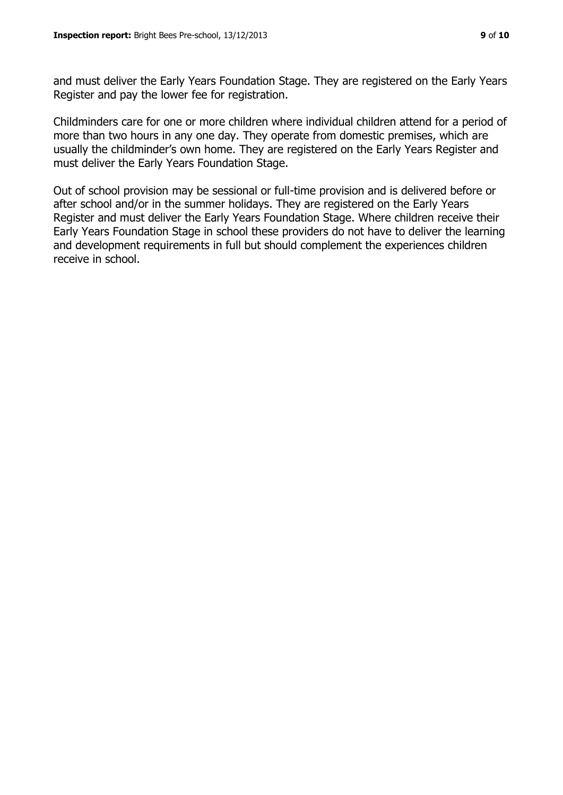and must deliver the Early Years Foundation Stage. They are registered on the Early Years Register and pay the lower fee for registration.

Childminders care for one or more children where individual children attend for a period of more than two hours in any one day. They operate from domestic premises, which are usually the childminder's own home. They are registered on the Early Years Register and must deliver the Early Years Foundation Stage.

Out of school provision may be sessional or full-time provision and is delivered before or after school and/or in the summer holidays. They are registered on the Early Years Register and must deliver the Early Years Foundation Stage. Where children receive their Early Years Foundation Stage in school these providers do not have to deliver the learning and development requirements in full but should complement the experiences children receive in school.